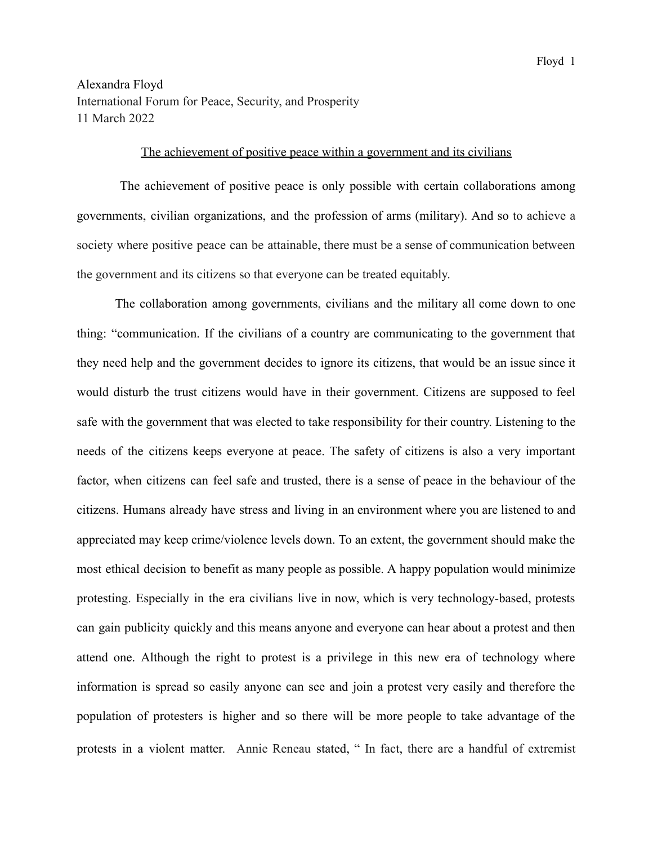## Alexandra Floyd International Forum for Peace, Security, and Prosperity 11 March 2022

## The achievement of positive peace within a government and its civilians

The achievement of positive peace is only possible with certain collaborations among governments, civilian organizations, and the profession of arms (military). And so to achieve a society where positive peace can be attainable, there must be a sense of communication between the government and its citizens so that everyone can be treated equitably.

The collaboration among governments, civilians and the military all come down to one thing: "communication. If the civilians of a country are communicating to the government that they need help and the government decides to ignore its citizens, that would be an issue since it would disturb the trust citizens would have in their government. Citizens are supposed to feel safe with the government that was elected to take responsibility for their country. Listening to the needs of the citizens keeps everyone at peace. The safety of citizens is also a very important factor, when citizens can feel safe and trusted, there is a sense of peace in the behaviour of the citizens. Humans already have stress and living in an environment where you are listened to and appreciated may keep crime/violence levels down. To an extent, the government should make the most ethical decision to benefit as many people as possible. A happy population would minimize protesting. Especially in the era civilians live in now, which is very technology-based, protests can gain publicity quickly and this means anyone and everyone can hear about a protest and then attend one. Although the right to protest is a privilege in this new era of technology where information is spread so easily anyone can see and join a protest very easily and therefore the population of protesters is higher and so there will be more people to take advantage of the protests in a violent matter. Annie [Reneau](https://www.upworthy.com/u/annie-reneau) stated, " In fact, there are a handful of extremist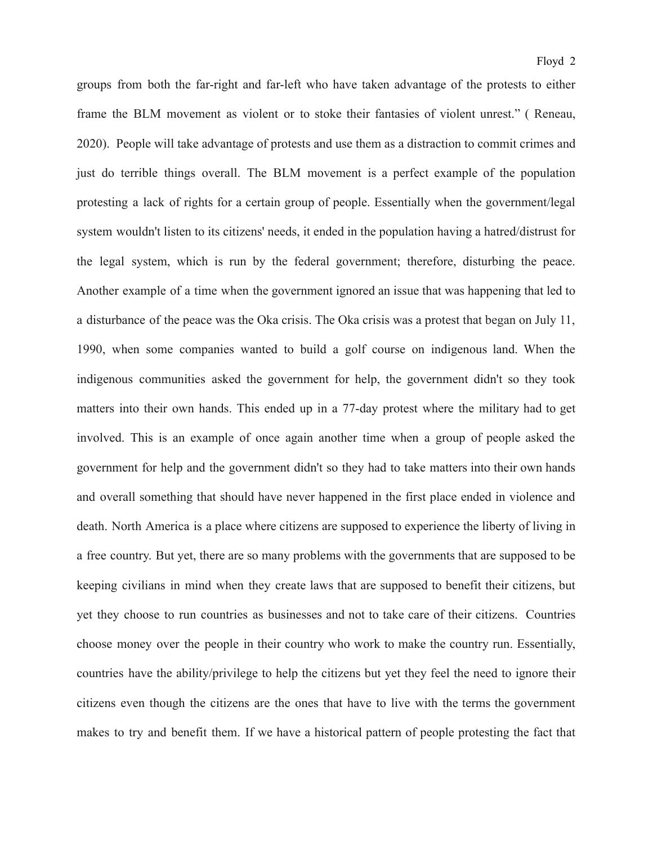groups from both the far-right and far-left who have taken advantage of the protests to either frame the BLM movement as violent or to stoke their fantasies of violent unrest." ( [Reneau,](https://www.upworthy.com/u/annie-reneau) 2020). People will take advantage of protests and use them as a distraction to commit crimes and just do terrible things overall. The BLM movement is a perfect example of the population protesting a lack of rights for a certain group of people. Essentially when the government/legal system wouldn't listen to its citizens' needs, it ended in the population having a hatred/distrust for the legal system, which is run by the federal government; therefore, disturbing the peace. Another example of a time when the government ignored an issue that was happening that led to a disturbance of the peace was the Oka crisis. The Oka crisis was a protest that began on July 11, 1990, when some companies wanted to build a golf course on indigenous land. When the indigenous communities asked the government for help, the government didn't so they took matters into their own hands. This ended up in a 77-day protest where the military had to get involved. This is an example of once again another time when a group of people asked the government for help and the government didn't so they had to take matters into their own hands and overall something that should have never happened in the first place ended in violence and death. North America is a place where citizens are supposed to experience the liberty of living in a free country. But yet, there are so many problems with the governments that are supposed to be keeping civilians in mind when they create laws that are supposed to benefit their citizens, but yet they choose to run countries as businesses and not to take care of their citizens. Countries choose money over the people in their country who work to make the country run. Essentially, countries have the ability/privilege to help the citizens but yet they feel the need to ignore their citizens even though the citizens are the ones that have to live with the terms the government makes to try and benefit them. If we have a historical pattern of people protesting the fact that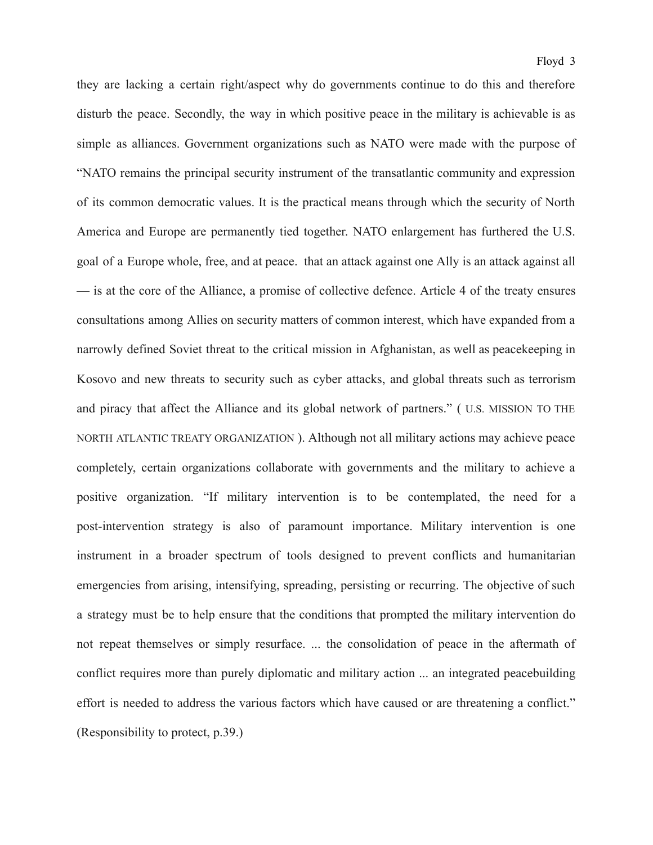they are lacking a certain right/aspect why do governments continue to do this and therefore disturb the peace. Secondly, the way in which positive peace in the military is achievable is as simple as alliances. Government organizations such as NATO were made with the purpose of "NATO remains the principal security instrument of the transatlantic community and expression of its common democratic values. It is the practical means through which the security of North America and Europe are permanently tied together. NATO enlargement has furthered the U.S. goal of a Europe whole, free, and at peace. that an attack against one Ally is an attack against all — is at the core of the Alliance, a promise of collective defence. Article 4 of the treaty ensures consultations among Allies on security matters of common interest, which have expanded from a narrowly defined Soviet threat to the critical mission in Afghanistan, as well as peacekeeping in Kosovo and new threats to security such as cyber attacks, and global threats such as terrorism and piracy that affect the Alliance and its global network of partners." ( U.S. [MISSION](https://nato.usmission.gov/) TO THE NORTH ATLANTIC TREATY [ORGANIZATION](https://nato.usmission.gov/) ). Although not all military actions may achieve peace completely, certain organizations collaborate with governments and the military to achieve a positive organization. "If military intervention is to be contemplated, the need for a post-intervention strategy is also of paramount importance. Military intervention is one instrument in a broader spectrum of tools designed to prevent conflicts and humanitarian emergencies from arising, intensifying, spreading, persisting or recurring. The objective of such a strategy must be to help ensure that the conditions that prompted the military intervention do not repeat themselves or simply resurface. ... the consolidation of peace in the aftermath of conflict requires more than purely diplomatic and military action ... an integrated peacebuilding effort is needed to address the various factors which have caused or are threatening a conflict." (Responsibility to protect, p.39.)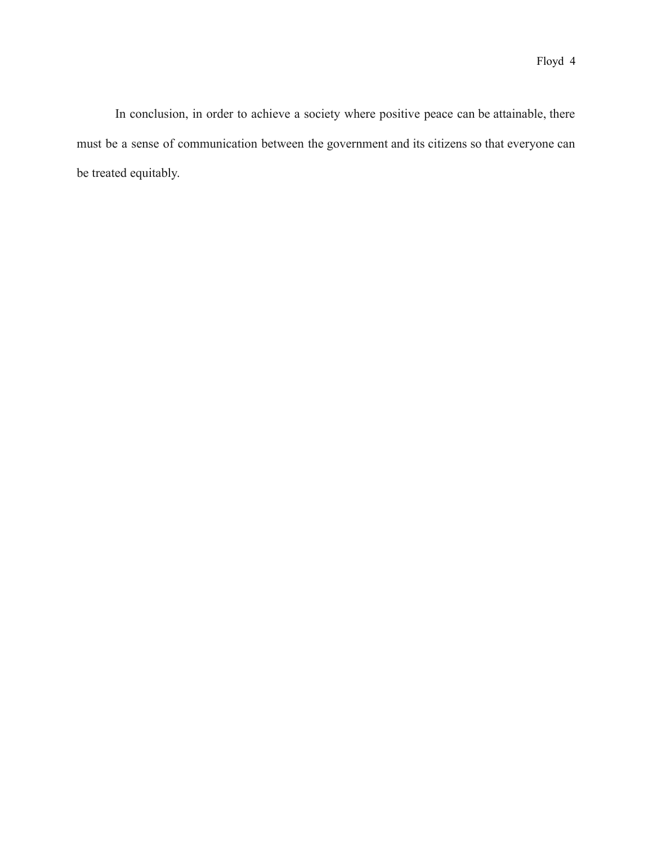In conclusion, in order to achieve a society where positive peace can be attainable, there must be a sense of communication between the government and its citizens so that everyone can be treated equitably.